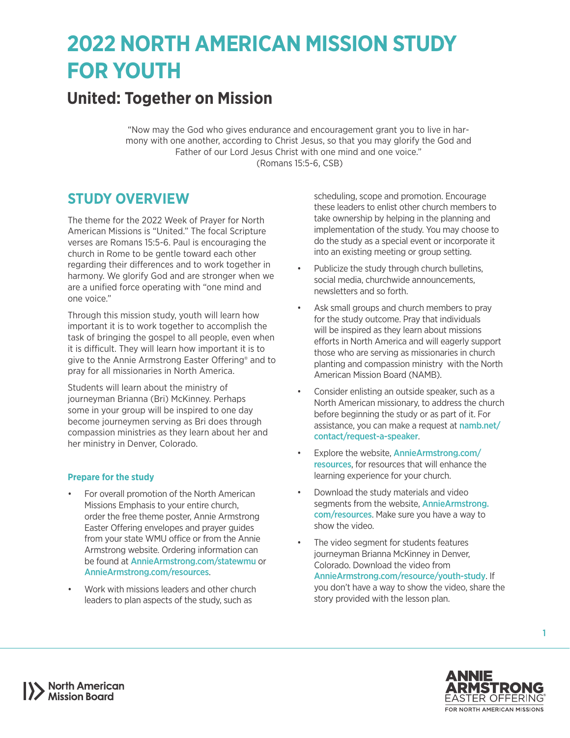# **2022 NORTH AMERICAN MISSION STUDY FOR YOUTH**

## **United: Together on Mission**

"Now may the God who gives endurance and encouragement grant you to live in harmony with one another, according to Christ Jesus, so that you may glorify the God and Father of our Lord Jesus Christ with one mind and one voice." (Romans 15:5-6, CSB)

### **STUDY OVERVIEW**

The theme for the 2022 Week of Prayer for North American Missions is "United." The focal Scripture verses are Romans 15:5-6. Paul is encouraging the church in Rome to be gentle toward each other regarding their differences and to work together in harmony. We glorify God and are stronger when we are a unified force operating with "one mind and one voice."

Through this mission study, youth will learn how important it is to work together to accomplish the task of bringing the gospel to all people, even when it is difficult. They will learn how important it is to give to the Annie Armstrong Easter Offering® and to pray for all missionaries in North America.

Students will learn about the ministry of journeyman Brianna (Bri) McKinney. Perhaps some in your group will be inspired to one day become journeymen serving as Bri does through compassion ministries as they learn about her and her ministry in Denver, Colorado.

#### **Prepare for the study**

- For overall promotion of the North American Missions Emphasis to your entire church, order the free theme poster, Annie Armstrong Easter Offering envelopes and prayer guides from your state WMU office or from the Annie Armstrong website. Ordering information can be found at [AnnieArmstrong.com/statewmu](http://AnnieArmstrong.com/statewmu) or [AnnieArmstrong.com/resources](http://AnnieArmstrong.com/resources).
- Work with missions leaders and other church leaders to plan aspects of the study, such as

scheduling, scope and promotion. Encourage these leaders to enlist other church members to take ownership by helping in the planning and implementation of the study. You may choose to do the study as a special event or incorporate it into an existing meeting or group setting.

- Publicize the study through church bulletins, social media, churchwide announcements, newsletters and so forth.
- Ask small groups and church members to pray for the study outcome. Pray that individuals will be inspired as they learn about missions efforts in North America and will eagerly support those who are serving as missionaries in church planting and compassion ministry with the North American Mission Board (NAMB).
- Consider enlisting an outside speaker, such as a North American missionary, to address the church before beginning the study or as part of it. For assistance, you can make a request at [namb.net/](https://www.namb.net/contact/request-a-speaker) [contact/request-a-speaker](https://www.namb.net/contact/request-a-speaker).
- Explore the website. [AnnieArmstrong.com/](http://AnnieArmstrong.com/resources) [resources](http://AnnieArmstrong.com/resources), for resources that will enhance the learning experience for your church.
- Download the study materials and video segments from the website, **[AnnieArmstrong.](http://AnnieArmstrong.com/resources)** [com/resources](http://AnnieArmstrong.com/resources). Make sure you have a way to show the video.
- The video segment for students features journeyman Brianna McKinney in Denver, Colorado. Download the video from [AnnieArmstrong.com/resource/youth-study](http://AnnieArmstrong.com/resource/youth-study). If you don't have a way to show the video, share the story provided with the lesson plan.



1

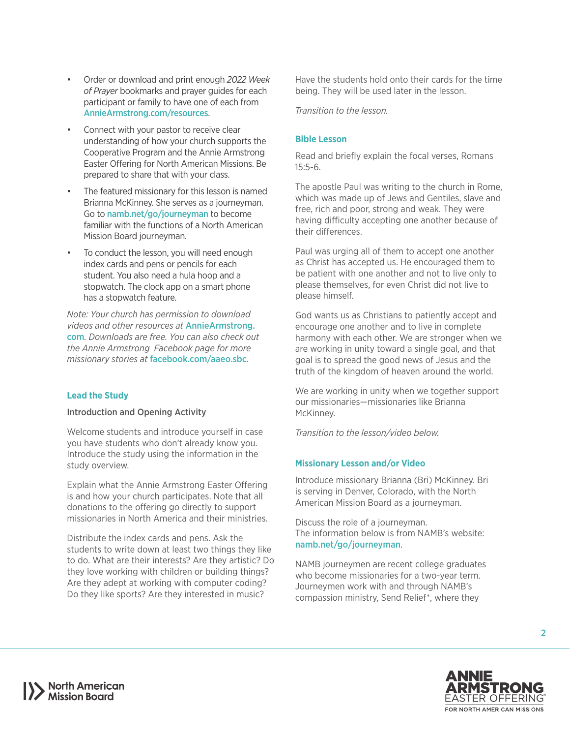- Order or download and print enough *2022 Week of Prayer* bookmarks and prayer guides for each participant or family to have one of each from [AnnieArmstrong.com/resources](http://AnnieArmstrong.com/resources).
- Connect with your pastor to receive clear understanding of how your church supports the Cooperative Program and the Annie Armstrong Easter Offering for North American Missions. Be prepared to share that with your class.
- The featured missionary for this lesson is named Brianna McKinney. She serves as a journeyman. Go to [namb.net/go/journeyman](http://www.namb.net/go/journeyman) to become familiar with the functions of a North American Mission Board journeyman.
- To conduct the lesson, you will need enough index cards and pens or pencils for each student. You also need a hula hoop and a stopwatch. The clock app on a smart phone has a stopwatch feature.

*Note: Your church has permission to download videos and other resources at* [AnnieArmstrong.](http://AnnieArmstrong.com) [com](http://AnnieArmstrong.com)*. Downloads are free. You can also check out the Annie Armstrong Facebook page for more missionary stories at* [facebook.com/aaeo.sbc](http://facebook.com/aaeo.sbc)*.*

#### **Lead the Study**

#### Introduction and Opening Activity

Welcome students and introduce yourself in case you have students who don't already know you. Introduce the study using the information in the study overview.

Explain what the Annie Armstrong Easter Offering is and how your church participates. Note that all donations to the offering go directly to support missionaries in North America and their ministries.

Distribute the index cards and pens. Ask the students to write down at least two things they like to do. What are their interests? Are they artistic? Do they love working with children or building things? Are they adept at working with computer coding? Do they like sports? Are they interested in music?

Have the students hold onto their cards for the time being. They will be used later in the lesson.

*Transition to the lesson.*

#### **Bible Lesson**

Read and briefly explain the focal verses, Romans 15:5-6.

The apostle Paul was writing to the church in Rome, which was made up of Jews and Gentiles, slave and free, rich and poor, strong and weak. They were having difficulty accepting one another because of their differences.

Paul was urging all of them to accept one another as Christ has accepted us. He encouraged them to be patient with one another and not to live only to please themselves, for even Christ did not live to please himself.

God wants us as Christians to patiently accept and encourage one another and to live in complete harmony with each other. We are stronger when we are working in unity toward a single goal, and that goal is to spread the good news of Jesus and the truth of the kingdom of heaven around the world.

We are working in unity when we together support our missionaries—missionaries like Brianna McKinney.

*Transition to the lesson/video below.*

#### **Missionary Lesson and/or Video**

Introduce missionary Brianna (Bri) McKinney. Bri is serving in Denver, Colorado, with the North American Mission Board as a journeyman.

Discuss the role of a journeyman. The information below is from NAMB's website: [namb.net/go/journeyman](http://www.namb.net/go/journeyman).

NAMB journeymen are recent college graduates who become missionaries for a two-year term. Journeymen work with and through NAMB's compassion ministry, Send Relief\*, where they



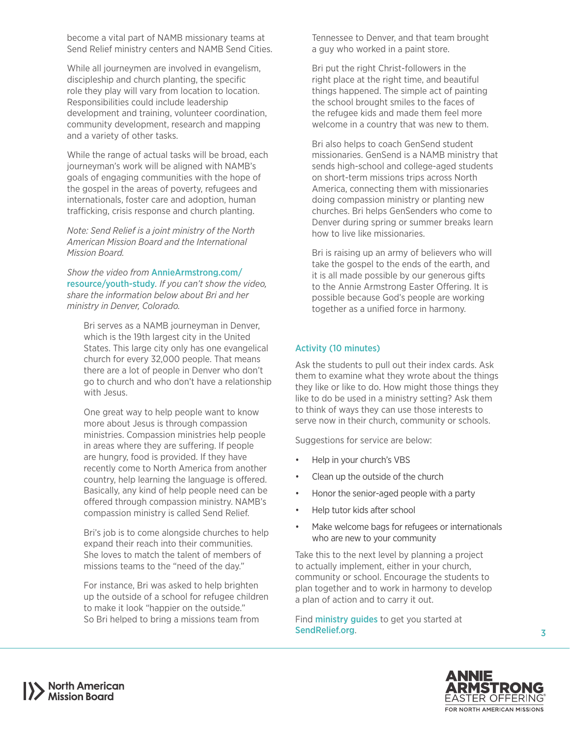become a vital part of NAMB missionary teams at Send Relief ministry centers and NAMB Send Cities.

While all journeymen are involved in evangelism, discipleship and church planting, the specific role they play will vary from location to location. Responsibilities could include leadership development and training, volunteer coordination, community development, research and mapping and a variety of other tasks.

While the range of actual tasks will be broad, each journeyman's work will be aligned with NAMB's goals of engaging communities with the hope of the gospel in the areas of poverty, refugees and internationals, foster care and adoption, human trafficking, crisis response and church planting.

*Note: Send Relief is a joint ministry of the North American Mission Board and the International Mission Board.*

*Show the video from* [AnnieArmstrong.com/](http://AnnieArmstrong.com/resource/youth-study) [resource/youth-study](http://AnnieArmstrong.com/resource/youth-study)*. If you can't show the video, share the information below about Bri and her ministry in Denver, Colorado.*

Bri serves as a NAMB journeyman in Denver, which is the 19th largest city in the United States. This large city only has one evangelical church for every 32,000 people. That means there are a lot of people in Denver who don't go to church and who don't have a relationship with Jesus.

One great way to help people want to know more about Jesus is through compassion ministries. Compassion ministries help people in areas where they are suffering. If people are hungry, food is provided. If they have recently come to North America from another country, help learning the language is offered. Basically, any kind of help people need can be offered through compassion ministry. NAMB's compassion ministry is called Send Relief.

Bri's job is to come alongside churches to help expand their reach into their communities. She loves to match the talent of members of missions teams to the "need of the day."

For instance, Bri was asked to help brighten up the outside of a school for refugee children to make it look "happier on the outside." So Bri helped to bring a missions team from

Tennessee to Denver, and that team brought a guy who worked in a paint store.

Bri put the right Christ-followers in the right place at the right time, and beautiful things happened. The simple act of painting the school brought smiles to the faces of the refugee kids and made them feel more welcome in a country that was new to them.

Bri also helps to coach GenSend student missionaries. GenSend is a NAMB ministry that sends high-school and college-aged students on short-term missions trips across North America, connecting them with missionaries doing compassion ministry or planting new churches. Bri helps GenSenders who come to Denver during spring or summer breaks learn how to live like missionaries.

Bri is raising up an army of believers who will take the gospel to the ends of the earth, and it is all made possible by our generous gifts to the Annie Armstrong Easter Offering. It is possible because God's people are working together as a unified force in harmony.

#### Activity (10 minutes)

Ask the students to pull out their index cards. Ask them to examine what they wrote about the things they like or like to do. How might those things they like to do be used in a ministry setting? Ask them to think of ways they can use those interests to serve now in their church, community or schools.

Suggestions for service are below:

- Help in your church's VBS
- Clean up the outside of the church
- Honor the senior-aged people with a party
- Help tutor kids after school
- Make welcome bags for refugees or internationals who are new to your community

Take this to the next level by planning a project to actually implement, either in your church, community or school. Encourage the students to plan together and to work in harmony to develop a plan of action and to carry it out.

Find **[ministry guides](https://www.sendrelief.org/ministry-guides/)** to get you started at [SendRelief.org](http://SendRelief.org).



3